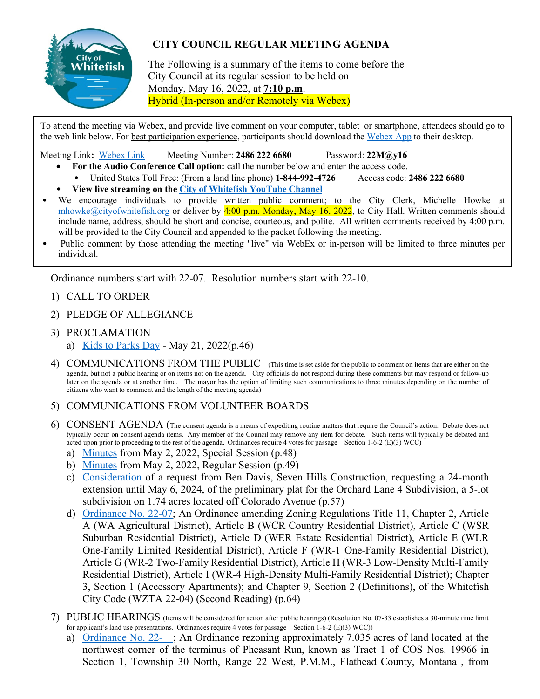

## **CITY COUNCIL REGULAR MEETING AGENDA**

The Following is a summary of the items to come before the City Council at its regular session to be held on Monday, May 16, 2022, at **7:10 p.m**. Hybrid (In-person and/or Remotely via Webex)

To attend the meeting via Webex, and provide live comment on your computer, tablet or smartphone, attendees should go to the web link below. For best participation experience, participants should download the [Webex App](https://www.webex.com/downloads.html) to their desktop.

Meeting Link**:** [Webex Link](https://cityofwhitefish.webex.com/cityofwhitefish/j.php?MTID=m69eb88b1e34adc7044f2e084d1279e5c) Meeting Number: **2486 222 6680** Password: **22M@y16**

- **For the Audio Conference Call option:** call the number below and enter the access code.
	- United States Toll Free: (From a land line phone) **1-844-992-4726** Access code: **2486 222 6680**
	- **View live streaming on th[e City of Whitefish YouTube Channel](https://www.youtube.com/channel/UC2DuZE-QgQkdLNdkTPxBfuQ)**
- We encourage individuals to provide written public comment; to the City Clerk, Michelle Howke at [mhowke@cityofwhitefish.org](mailto:mhowke@cityofwhitefish.org) or deliver by  $4:00$  p.m. Monday, May 16, 2022, to City Hall. Written comments should include name, address, should be short and concise, courteous, and polite. All written comments received by 4:00 p.m. will be provided to the City Council and appended to the packet following the meeting.
- Public comment by those attending the meeting "live" via WebEx or in-person will be limited to three minutes per individual.

Ordinance numbers start with 22-07. Resolution numbers start with 22-10.

- 1) CALL TO ORDER
- 2) PLEDGE OF ALLEGIANCE
- 3) PROCLAMATION a) [Kids to Parks Day](https://cityofwhitefishmt.sharepoint.com/:b:/g/documents/EX0qYOBLqh9Aiapm1xe2sRYBGn7svG26itRdc_N3dhIdfw?e=0qooGi) - May 21, 2022(p.46)
- 4) COMMUNICATIONS FROM THE PUBLIC– (This time is set aside for the public to comment on items that are either on the agenda, but not a public hearing or on items not on the agenda. City officials do not respond during these comments but may respond or follow-up later on the agenda or at another time. The mayor has the option of limiting such communications to three minutes depending on the number of citizens who want to comment and the length of the meeting agenda)
- 5) COMMUNICATIONS FROM VOLUNTEER BOARDS
- 6) CONSENT AGENDA (The consent agenda is a means of expediting routine matters that require the Council's action. Debate does not typically occur on consent agenda items. Any member of the Council may remove any item for debate. Such items will typically be debated and acted upon prior to proceeding to the rest of the agenda. Ordinances require 4 votes for passage – Section 1-6-2 (E)(3) WCC)
	- a) [Minutes](https://cityofwhitefishmt.sharepoint.com/:b:/g/documents/EeX19O05YKpBrWyFq5EBqvMBf2NqGcY0UqIj6Y0KRcRpgA?e=KwYIqB) from May 2, 2022, Special Session (p.48)
	- b) [Minutes](https://cityofwhitefishmt.sharepoint.com/:b:/g/documents/EW0cQ_T9nc5NggLc-f2etyYBA69pSEU9IGZm-6EGnY32qw?e=ZnvygR) from May 2, 2022, Regular Session (p.49)
	- c) [Consideration](https://cityofwhitefishmt.sharepoint.com/:b:/g/documents/Ef6cwokpl0hHuk1Pv7FE8r4BlgMnr6GirOwP1xyXIwDNWA?e=G6AQcX) of a request from Ben Davis, Seven Hills Construction, requesting a 24-month extension until May 6, 2024, of the preliminary plat for the Orchard Lane 4 Subdivision, a 5-lot subdivision on 1.74 acres located off Colorado Avenue (p.57)
	- d) [Ordinance No. 22-07;](https://cityofwhitefishmt.sharepoint.com/:b:/g/documents/EcWXTHdutapMg5SkaCNeL_wBoMhbaRZCkrbrpur6C6fIMA?e=nDumqK) An Ordinance amending Zoning Regulations Title 11, Chapter 2, Article A (WA Agricultural District), Article B (WCR Country Residential District), Article C (WSR Suburban Residential District), Article D (WER Estate Residential District), Article E (WLR One-Family Limited Residential District), Article F (WR-1 One-Family Residential District), Article G (WR-2 Two-Family Residential District), Article H (WR-3 Low-Density Multi-Family Residential District), Article I (WR-4 High-Density Multi-Family Residential District); Chapter 3, Section 1 (Accessory Apartments); and Chapter 9, Section 2 (Definitions), of the Whitefish City Code (WZTA 22-04) (Second Reading) (p.64)
- 7) PUBLIC HEARINGS (Items will be considered for action after public hearings) (Resolution No. 07-33 establishes a 30-minute time limit for applicant's land use presentations. Ordinances require 4 votes for passage – Section 1-6-2 (E)(3) WCC))
	- a) Ordinance No. 22-<sub>3</sub>. An Ordinance rezoning approximately 7.035 acres of land located at the northwest corner of the terminus of Pheasant Run, known as Tract 1 of COS Nos. 19966 in Section 1, Township 30 North, Range 22 West, P.M.M., Flathead County, Montana , from